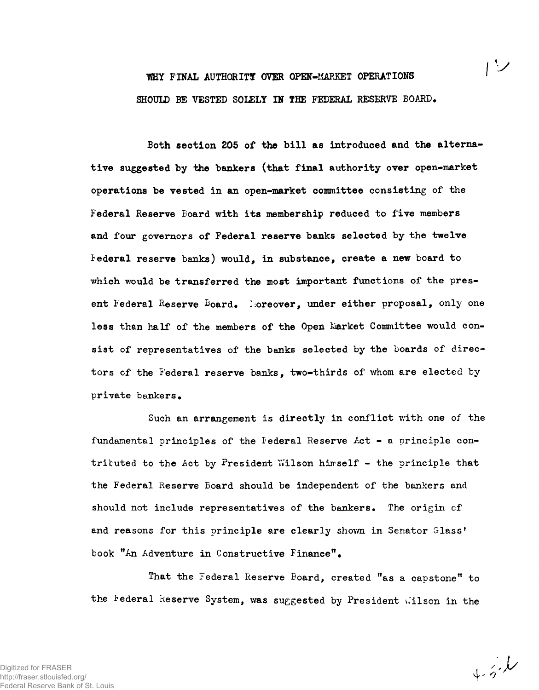## **WHY FINAL AUTHORITY OVER OPEN-MARKET OPERATIONS SHOULD BE VESTED SOLELY IN THE FEDERAL RESERVE BOARD.**

**Both section 205 of the bill as introduced and the alternative suggested by the bankers (that final authority over open-market operations be vested in an open-market committee consisting of the Federal Reserve Board with its membership reduced to five members and four governors of Federal reserve banks selected by the twelve federal reserve banks) would, in substance, create a new board to** which would be transferred the most important functions of the pres**ent Federal Reserve ^oard. I moreover, under either proposal, only one** less than half of the members of the Open Market Committee would con**sist of representatives of the banks selected by the boards of directors cf the Federal reserve banks, two-thirds of whom are elected by private bankers.**

**Such an arrangement is directly in conflict with one of the fundamental principles of the federal Reserve Act - a principle con**trituted to the Act by President Wilson himself - the principle that **the Federal Reserve Board should be independent of the bankers and should not include representatives of the bankers. The origin cf** and reasons for this principle are clearly shown in Senator Glass' **book "An Adventure in Constructive Finance".**

**That the Federal Reserve Board, created "as a capstone" to** the Federal Reserve System, was suggested by President Wilson in the

 $4.5.6$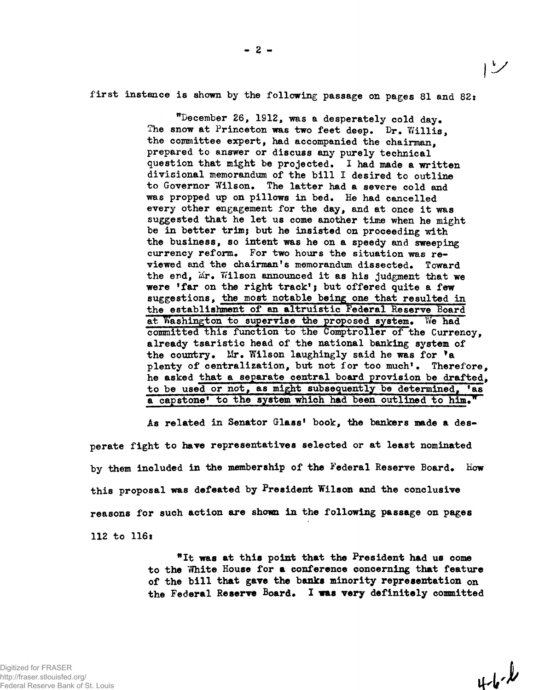first instance is shown by the following passage on pages 81 and 82:

"December 26, 1912, was a desperately cold day. The snow at Princeton was two feet deep. Dr. Willis. the committee expert, had accompanied the chairman, prepared to answer or discuss any purely technical question that might be projected. I had made a written divisional memorandum of the bill I desired to outline to Governor Wilson. The latter had a severe cold and was propped up on pillows in bed. He had cancelled every other engagement for the day, and at once it was suggested that he let us come another time when he might be in better trim; but he insisted on proceeding with the business, so intent was he on a speedy and sweeping currency reform. For two hours the situation was reviewed and the chairman's memorandum dissected. Toward the end, Mr. Wilson announced it as his judgment that we were 'far on the right track'; but offered quite a few suggestions, the most notable being one that resulted in the establishment of an altruistic Federal Reserve Board at Washington to supervise the proposed system. We had committed this function to the Comptroller of the Currency, already tsaristic head of the national banking system of the country. Mr. Wilson laughingly said he was for \*a plenty of centralization, but not for too much'. Therefore. he asked that a separate central board provision be drafted, to be used or not, as might subsequently be determined, <sup>f</sup>as a capstone' to the system which had been outlined to him."

As related in Senator Glass' book, the bankers made a desperate fight to have representatives selected or at least nominated by them included in the membership of the Federal Reserve Board. How this proposal was defeated by President Wilson and the conclusive reasons for such action are shown in the following passage on pages 112 to 116t

> "It was at this point that the President had us come to the Vfhite House for **a** conference concerning that feature of the bill that **gave** the banks minority representation on the Federal Reserve Board. I was very definitely committed

 $4 - 6 - 1$ 

レン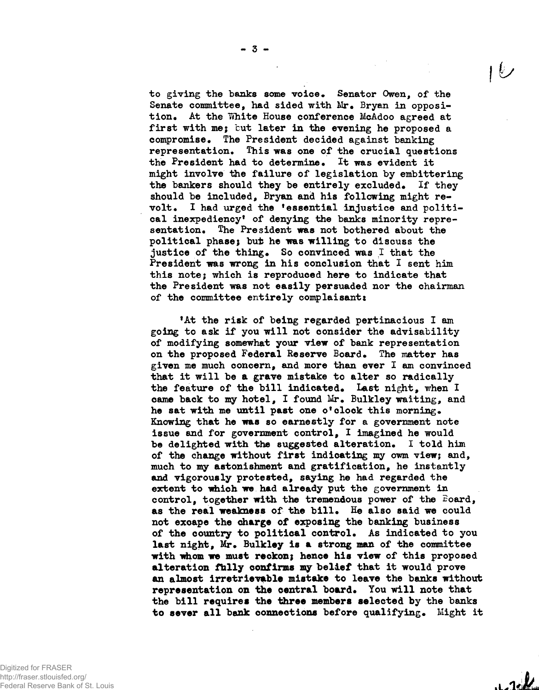**to giving the banks some voice. Senator Owen, of the Senate committee, had sided with Mr. Bryan in opposition. At the White House conference McAdoo agreed at first with me; but later in the evening he proposed a compromise. The President decided against banking representation. This was one of the crucial questions the President had to determine. It was evident it might involve the failure of legislation by embittering the bankers should they be entirely excluded. If they should be included, Bryan and his following might revolt. I had urged the <sup>f</sup>essential injustice and political inexpediency<sup>1</sup> of denying the banks minority representation. The President was not bothered about the political phase; but he was willing to discuss the justice of the thing. So convinced was I that the President was wrong in his conclusion that I sent him this note; which is reproduced here to indicate that the President was not easily persuaded nor the chairman of the committee entirely complaisanti**

**<sup>f</sup>At the risk of being regarded pertinacious I am going to ask if you will not consider the advisability of modifying somewhat your view of bank representation on the proposed Federal Reserve Board. The matter has given me much concern, and more than ever I am convinced that it will be a grave mistake to alter so radically** the feature of the bill indicated. Last night, when I **came back to my hotel, I found Mr. Bulkley waiting, and he sat with me until past one o'clock this morning. Knowing that he was so earnestly for a government note issue and for government control, I imagined he would be delighted with the suggested alteration. I told him** of the change without first indicating my owm view; and, **much to my astonishment and gratification, he instantly and vigorously protested, saying he had regarded the extent to which we had already put the government in** control, together with the tremendous power of the Board, **as the real weakness of the bill. He also said we could not excape the charge of exposing the banking business of the country to political control. As indicated to you last night, Mr. Bulkley is a strong man of the committee with idiom we must reckon; hence his view of this proposed alteration fhlly confirms my belief that it would prove an almost irretrievable mistake to leave the banks without** representation on the central board. You will note that **the bill requires the three members selected by the banks to sever all bank connections before qualifying. Might it**

Digitized for FRASER http://fraser.stlouisfed.org/ Federal Reserve Bank of St. Louis

 $1.14$ 

**16/**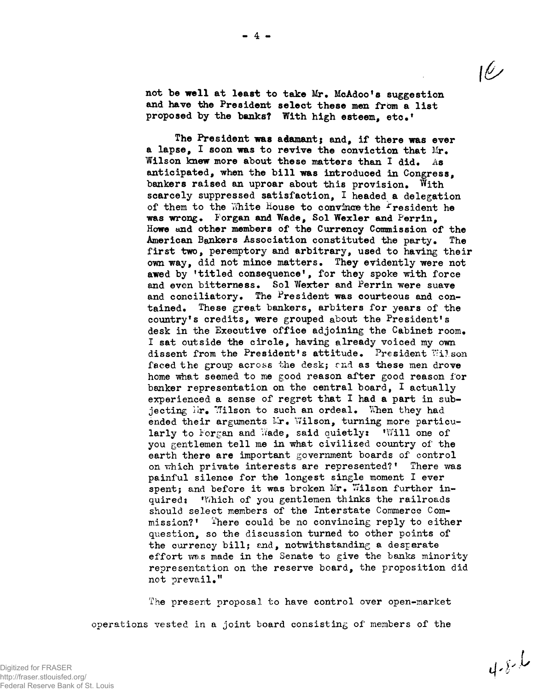not **be well at least** to **take** Mr. McAdoo<sup>f</sup>s suggestion and have the President select these men from a list proposed by the banks? With high esteem, etc.'

The President was adamant; and, if there **was** ever a lapse, I soon was to revive the conviction that Mr. Wilson knew more about these matters than I did. As anticipated, when the bill was introduced in Congress, bankers raised an uproar about this provision. With scarcely suppressed satisfaction, I headed a delegation of them to the White House to convince the Fresident he was wrong. Forgan and Wade, Sol Wexler and Perrin, Howe and other members of the Currency Commission of the American Bankers Association constituted the party. The first two, peremptory and arbitrary, used to having their own way, did not mince matters. They evidently were not awed by 'titled consequence', for they spoke with force and even bitterness. Sol Wexter and Perrin were suave and conciliatory. The President was courteous and contained. These great bankers, arbiters for years of the country<sup>1</sup>s credits, were grouped about the President's desk in the Executive office adjoining the Cabinet room. I sat outside the circle, having already voiced my own dissent from the President's attitude. President Wilson faced the group across the desk; and as these men drove home what seemed to me good reason after good reason for banker representation on the central board, I actually experienced a sense of regret that I had a part in subjecting  $Mr_{\bullet}$  Wilson to such an ordeal. When they had ended their arguments Ir. Wilson, turning more particularly to Forgan and Wade, said quietly: Will one of you gentlemen tell me in what civilized country of the earth there are important government boards of control on which private interests are represented?<sup>1</sup> There was painful silence for the longest single moment I ever spent; and before it was broken Mr. Wilson further inquired: Which of you gentlemen thinks the railroads should select members of the Interstate Commerce Commission?' There could be no convincing reply to either question, so the discussion turned to other points of the currency bill; and, notwithstanding a desperate effort was made in the Senate to give the banks minority representation on the reserve board, the proposition did not prevail."

The present proposal to have control over open-market operations vested in a joint board consisting of members of the

$$
4.8\text{ L}
$$

ريرا